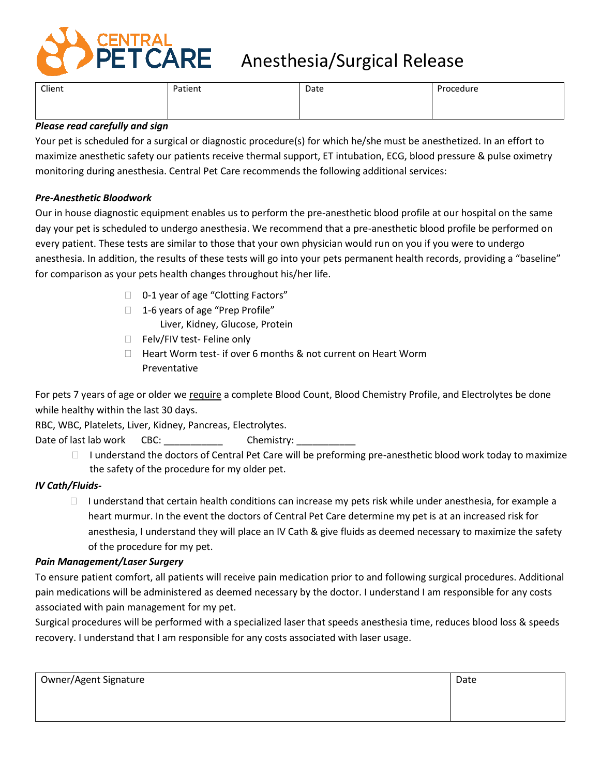

# **ENTRAL<br>PET CARE** Anesthesia/Surgical Release

| Client | Patient<br>. | Date | Procedure |
|--------|--------------|------|-----------|
|        |              |      |           |
|        |              |      |           |

## *Please read carefully and sign*

Your pet is scheduled for a surgical or diagnostic procedure(s) for which he/she must be anesthetized. In an effort to maximize anesthetic safety our patients receive thermal support, ET intubation, ECG, blood pressure & pulse oximetry monitoring during anesthesia. Central Pet Care recommends the following additional services:

## *Pre-Anesthetic Bloodwork*

Our in house diagnostic equipment enables us to perform the pre-anesthetic blood profile at our hospital on the same day your pet is scheduled to undergo anesthesia. We recommend that a pre-anesthetic blood profile be performed on every patient. These tests are similar to those that your own physician would run on you if you were to undergo anesthesia. In addition, the results of these tests will go into your pets permanent health records, providing a "baseline" for comparison as your pets health changes throughout his/her life.

- □ 0-1 year of age "Clotting Factors"
- $\Box$  1-6 years of age "Prep Profile" Liver, Kidney, Glucose, Protein
- Felv/FIV test- Feline only
- $\Box$  Heart Worm test- if over 6 months & not current on Heart Worm Preventative

For pets 7 years of age or older we require a complete Blood Count, Blood Chemistry Profile, and Electrolytes be done while healthy within the last 30 days.

RBC, WBC, Platelets, Liver, Kidney, Pancreas, Electrolytes.

Date of last lab work CBC: Chemistry:

 $\Box$  I understand the doctors of Central Pet Care will be preforming pre-anesthetic blood work today to maximize the safety of the procedure for my older pet.

# *IV Cath/Fluids-*

 $\Box$  I understand that certain health conditions can increase my pets risk while under anesthesia, for example a heart murmur. In the event the doctors of Central Pet Care determine my pet is at an increased risk for anesthesia, I understand they will place an IV Cath & give fluids as deemed necessary to maximize the safety of the procedure for my pet.

### *Pain Management/Laser Surgery*

To ensure patient comfort, all patients will receive pain medication prior to and following surgical procedures. Additional pain medications will be administered as deemed necessary by the doctor. I understand I am responsible for any costs associated with pain management for my pet.

Surgical procedures will be performed with a specialized laser that speeds anesthesia time, reduces blood loss & speeds recovery. I understand that I am responsible for any costs associated with laser usage.

| Owner/Agent Signature | Date |
|-----------------------|------|
|                       |      |
|                       |      |